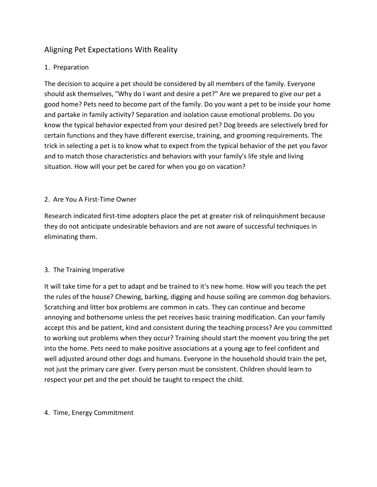# Aligning Pet Expectations With Reality

## 1. Preparation

The decision to acquire a pet should be considered by all members of the family. Everyone should ask themselves, "Why do I want and desire a pet?" Are we prepared to give our pet a good home? Pets need to become part of the family. Do you want a pet to be inside your home and partake in family activity? Separation and isolation cause emotional problems. Do you know the typical behavior expected from your desired pet? Dog breeds are selectively bred for certain functions and they have different exercise, training, and grooming requirements. The trick in selecting a pet is to know what to expect from the typical behavior of the pet you favor and to match those characteristics and behaviors with your family's life style and living situation. How will your pet be cared for when you go on vacation?

### 2. Are You A First-Time Owner

Research indicated first-time adopters place the pet at greater risk of relinquishment because they do not anticipate undesirable behaviors and are not aware of successful techniques in eliminating them.

### 3. The Training Imperative

It will take time for a pet to adapt and be trained to it's new home. How will you teach the pet the rules of the house? Chewing, barking, digging and house soiling are common dog behaviors. Scratching and litter box problems are common in cats. They can continue and become annoying and bothersome unless the pet receives basic training modification. Can your family accept this and be patient, kind and consistent during the teaching process? Are you committed to working out problems when they occur? Training should start the moment you bring the pet into the home. Pets need to make positive associations at a young age to feel confident and well adjusted around other dogs and humans. Everyone in the household should train the pet, not just the primary care giver. Every person must be consistent. Children should learn to respect your pet and the pet should be taught to respect the child.

### 4. Time, Energy Commitment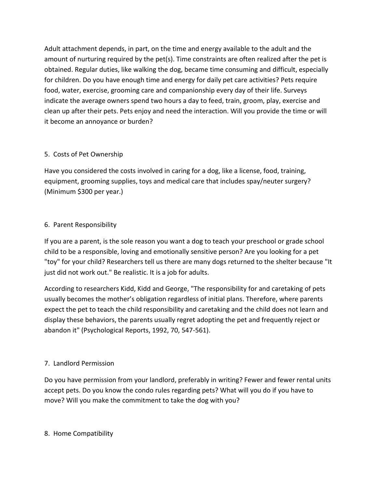Adult attachment depends, in part, on the time and energy available to the adult and the amount of nurturing required by the pet(s). Time constraints are often realized after the pet is obtained. Regular duties, like walking the dog, became time consuming and difficult, especially for children. Do you have enough time and energy for daily pet care activities? Pets require food, water, exercise, grooming care and companionship every day of their life. Surveys indicate the average owners spend two hours a day to feed, train, groom, play, exercise and clean up after their pets. Pets enjoy and need the interaction. Will you provide the time or will it become an annoyance or burden?

### 5. Costs of Pet Ownership

Have you considered the costs involved in caring for a dog, like a license, food, training, equipment, grooming supplies, toys and medical care that includes spay/neuter surgery? (Minimum \$300 per year.)

### 6. Parent Responsibility

If you are a parent, is the sole reason you want a dog to teach your preschool or grade school child to be a responsible, loving and emotionally sensitive person? Are you looking for a pet "toy" for your child? Researchers tell us there are many dogs returned to the shelter because "It just did not work out." Be realistic. It is a job for adults.

According to researchers Kidd, Kidd and George, "The responsibility for and caretaking of pets usually becomes the mother's obligation regardless of initial plans. Therefore, where parents expect the pet to teach the child responsibility and caretaking and the child does not learn and display these behaviors, the parents usually regret adopting the pet and frequently reject or abandon it" (Psychological Reports, 1992, 70, 547-561).

# 7. Landlord Permission

Do you have permission from your landlord, preferably in writing? Fewer and fewer rental units accept pets. Do you know the condo rules regarding pets? What will you do if you have to move? Will you make the commitment to take the dog with you?

### 8. Home Compatibility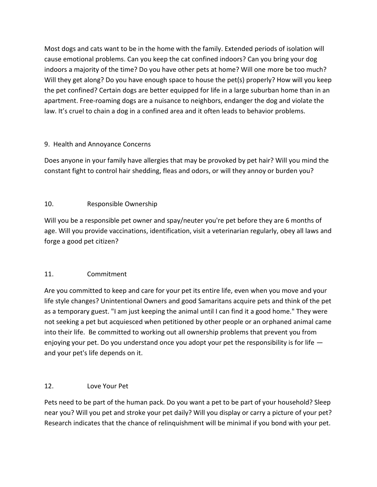Most dogs and cats want to be in the home with the family. Extended periods of isolation will cause emotional problems. Can you keep the cat confined indoors? Can you bring your dog indoors a majority of the time? Do you have other pets at home? Will one more be too much? Will they get along? Do you have enough space to house the pet(s) properly? How will you keep the pet confined? Certain dogs are better equipped for life in a large suburban home than in an apartment. Free-roaming dogs are a nuisance to neighbors, endanger the dog and violate the law. It's cruel to chain a dog in a confined area and it often leads to behavior problems.

# 9. Health and Annoyance Concerns

Does anyone in your family have allergies that may be provoked by pet hair? Will you mind the constant fight to control hair shedding, fleas and odors, or will they annoy or burden you?

### 10. Responsible Ownership

Will you be a responsible pet owner and spay/neuter you're pet before they are 6 months of age. Will you provide vaccinations, identification, visit a veterinarian regularly, obey all laws and forge a good pet citizen?

### 11. Commitment

Are you committed to keep and care for your pet its entire life, even when you move and your life style changes? Unintentional Owners and good Samaritans acquire pets and think of the pet as a temporary guest. "I am just keeping the animal until I can find it a good home." They were not seeking a pet but acquiesced when petitioned by other people or an orphaned animal came into their life. Be committed to working out all ownership problems that prevent you from enjoying your pet. Do you understand once you adopt your pet the responsibility is for life and your pet's life depends on it.

### 12. Love Your Pet

Pets need to be part of the human pack. Do you want a pet to be part of your household? Sleep near you? Will you pet and stroke your pet daily? Will you display or carry a picture of your pet? Research indicates that the chance of relinquishment will be minimal if you bond with your pet.